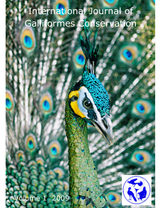# International Journal of Galliformes Conservation

## Volume 1 2009

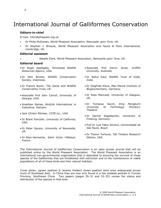### International Journal of Galliformes Conservation

#### Editors-in-chief

E-mail: IJGC@pheasant.org.uk

- Dr Philip McGowan, World Pheasant Association, Newcastle upon Tyne, UK.
- Dr Stephen J. Browne, World Pheasant Association and Fauna & Flora International, Cambridge, UK.

#### Editorial assistant

• Natalie Clark, World Pheasant Association, Newcastle upon Tyne, UK.

#### Editorial board

- Dr Roger Applegate, Tennessee Wildlife Resources Agency, USA.
- Dr Nick Brickle, Wildlife Conservation Society, Indonesia.
- Dr Francis Buner, The Game and Wildlife Conservation Trust, UK.
- Associate Prof John Carroll, University of Georgia, USA.
- Jonathan Eames, BirdLife International in Indochina, Vietnam.
- Jack Clinton Eitniear, CSTB inc., USA.
- Dr Brant Faircloth, University of California, USA.
- Dr Peter Garson, University of Newcastle, UK.
- Dr Alain Hennache, Saint Victor l'Abbaye, France.
- Associate Prof Darryl Jones, Griffith University, Australia.
- Dr Rahul Kaul, Wildlife Trust of India, India.
- Dr Siegfried Klaus, Max-Planck-Institute of Biogeochemistry, Germany.
- Dr Ross MacLeod, University of Glasgow, UK.
- Dr Tomasso Savini, King Mongkut's University of Technology Thonburi, Thailand.
- Dr Gernot Segelbacher, University of Freiburg, Germany.
- Prof Dr Luis Fabio Silviera, Universidade de São Paulo, Brazil.
- Dr Theron Terhune, Tall Timbers Research Station, USA.

The International Journal of Galliformes Conservation is an open access journal that will be published online by the World Pheasant Association. The World Pheasant Association is an international non-governmental organization that is dedicated to ensuring the survival of those species of the Galliformes that are threatened with extinction and to the maintenance of viable populations of all of these birds and their natural habitats.

Cover photo: (green peafowl © Jeremy Holden) Green peafowl were once widespread across much of Southeast Asia. In China they are now only found in a few isolated pockets in Yunnan Province, Southwest China. Two papers (pages 29–31 and 32–35) review the status and distribution of the species in that area.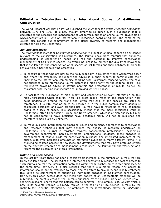#### Editorial – Introduction to the International Journal of Galliformes Conservation

The World Pheasant Association (WPA) published the Journal of the World Pheasant Association between 1976 and 1993. It is now thought timely to re-launch such a publication that is dedicated to the research and management of Galliformes, but as an online journal (available at www.pheasant.org.uk), with an internationally recognised board of editors. The name of the Journal also reflects our commitment to the global diversity of research and management directed towards the Galliformes.

#### Aim and objectives

The International Journal of Galliformes Conservation will publish original papers on any aspect relevant to the conservation of Galliformes. The Journal encourages material that enhances understanding of conservation needs and has the potential to improve conservation management of Galliformes species. Its overriding aim is to improve the quality of knowledge that is available for the conservation of all species of Galliformes and their habitats. In order to achieve this, it has the following objectives.

- 1. To encourage those who are new to the field, especially in countries where Galliformes occur and where the availability of support and advice is in short supply, to communicate their findings to the international community. Working with Galliformes conservationists who have not published in an international journal before is a high priority for the editorial board. This will involve providing advice on layout, analysis and presentation of results, as well as assistance with revising manuscripts and improving written English.
- 2. To facilitate the publication of high quality and conservation-relevant information on this highly threatened Order of birds. There is a great deal of research and conservation work being undertaken around the world and, given that 25% of the species are listed as threatened, it is vital that as much as possible is in the public domain. Many generalist zoological, ecological and even ornithological journals have to reject up to 75% of papers owing to a lack of space. This occasionally means that the more specialised work on Galliformes (often from outside Europe and North America), which is of high quality but may not be considered to have sufficient novel academic merit, will not be published and therefore remains largely unknown.
- 3. To make available information on emerging issues and opinions, approaches to conservation and research techniques that may enhance the quality of research undertaken on Galliformes. The Journal is targeted towards conservation professionals, academics, government departments, non-governmental organizations, students, those engaged in management of captive birds for conservation purposes and interested members of the public. With ever increasing amounts of information available in many different forms, it is challenging to keep abreast of new ideas and developments that may have profound effects on the way that research and management is conducted. The Journal will, therefore, act as a forum for the dissemination of this information.

#### Online and open access

In the last few years there has been a considerable increase in the number of journals that are freely available online. The spread of the internet has substantially reduced the cost of access to such journals so that the information contained within them reaches much larger audiences. At the same time, however, it is also realised that there is a moral reason why access to information should not be restricted to those who can afford to pay. WPA has readily embraced this, given its commitment to supporting individuals engaged in Galliformes conservation. However, this open access does not mean that papers of an unacceptable standard will be published. The great success of the journals published by the Public Library of Science (PLoS: see www.plos.org) shows that this balance can be achieved. For example, PLoS Biology which is now in its seventh volume is already ranked in the top tier of life science journals by the Institute for Scientific Information. The ambitions of the International Journal of Galliformes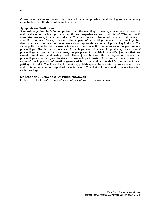Conservation are more modest, but there will be an emphasis on maintaining an internationally acceptable scientific standard in each volume.

#### Symposia on Galliformes

Symposia organised by WPA and partners and the resulting proceedings have recently been the main vehicle for delivering the scientific and experience-based outputs of WPA and WPA associated workers, to a wider audience. This has been supplemented by occasional papers in scientific journals. Today, however, the appeal of submitting papers to proceedings has diminished and they are no longer seen as an appropriate means of publishing findings. The same pattern can be seen across science and many scientific conferences no longer produce proceedings. This is partly because of the huge effort involved in producing 'stand alone' proceedings and partly because many people prefer to publish in scientific journals that are already well-known and widely read. These journals also offer a degree of access that proceedings and other 'grey literature' can never hope to match. This does, however, mean that some of the important information generated by those working on Galliformes has not been getting in to print. The Journal will, therefore, publish special issues after appropriate symposia and conferences whether organised by WPA or not. This first volume contains papers from two such meetings.

#### Dr Stephen J. Browne & Dr Philip McGowan

Editors-in-chief - International Journal of Galliformes Conservation